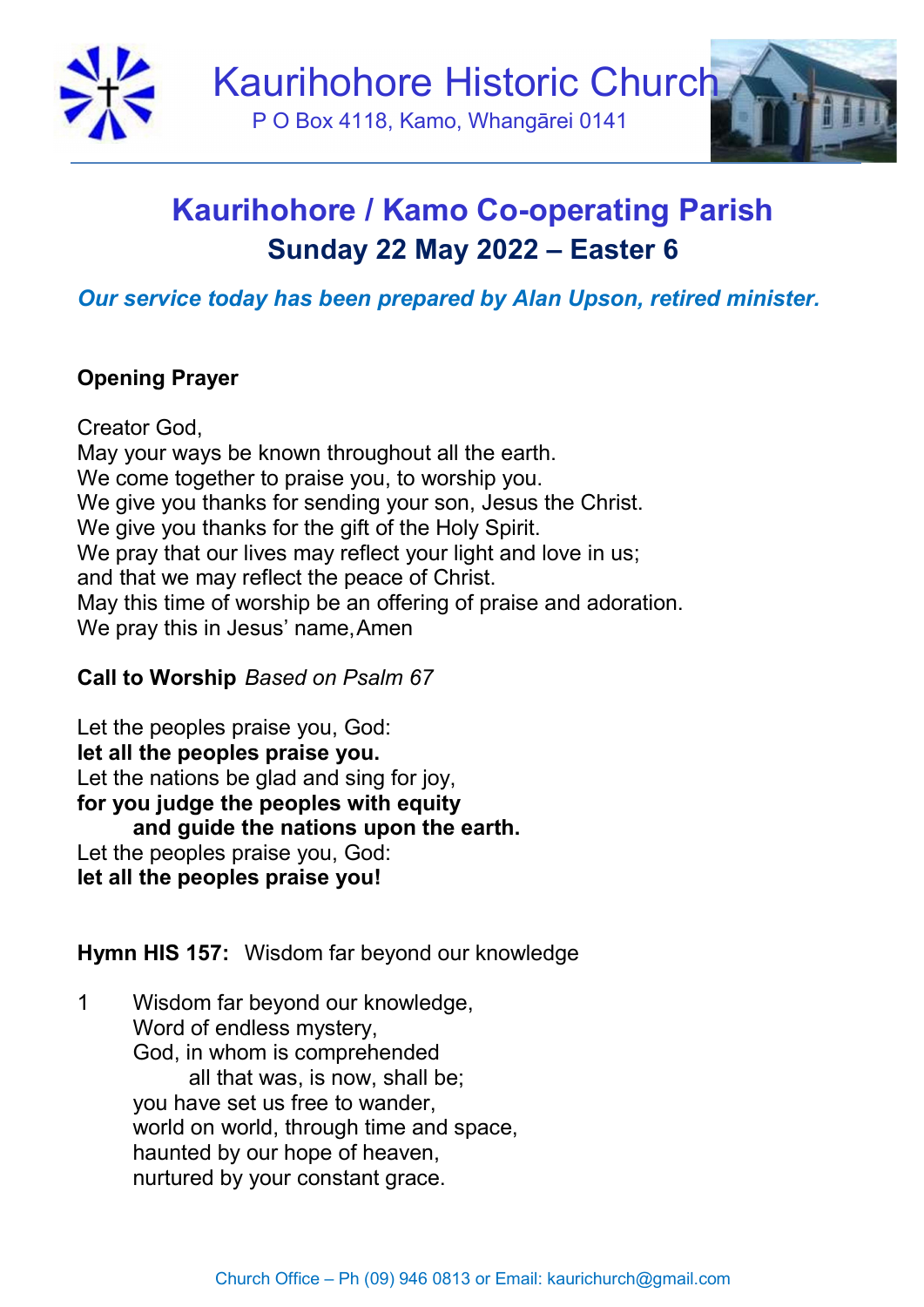

# Kaurihohore / Kamo Co-operating Parish Sunday 22 May 2022 – Easter 6

# Our service today has been prepared by Alan Upson, retired minister.

# Opening Prayer

Creator God, May your ways be known throughout all the earth. We come together to praise you, to worship you. We give you thanks for sending your son, Jesus the Christ. We give you thanks for the gift of the Holy Spirit. We pray that our lives may reflect your light and love in us: and that we may reflect the peace of Christ. May this time of worship be an offering of praise and adoration. We pray this in Jesus' name, Amen

## Call to Worship Based on Psalm 67

Let the peoples praise you, God: let all the peoples praise you. Let the nations be glad and sing for joy, for you judge the peoples with equity and guide the nations upon the earth. Let the peoples praise you, God: let all the peoples praise you!

Hymn HIS 157: Wisdom far beyond our knowledge

1 Wisdom far beyond our knowledge, Word of endless mystery, God, in whom is comprehended all that was, is now, shall be; you have set us free to wander, world on world, through time and space, haunted by our hope of heaven, nurtured by your constant grace.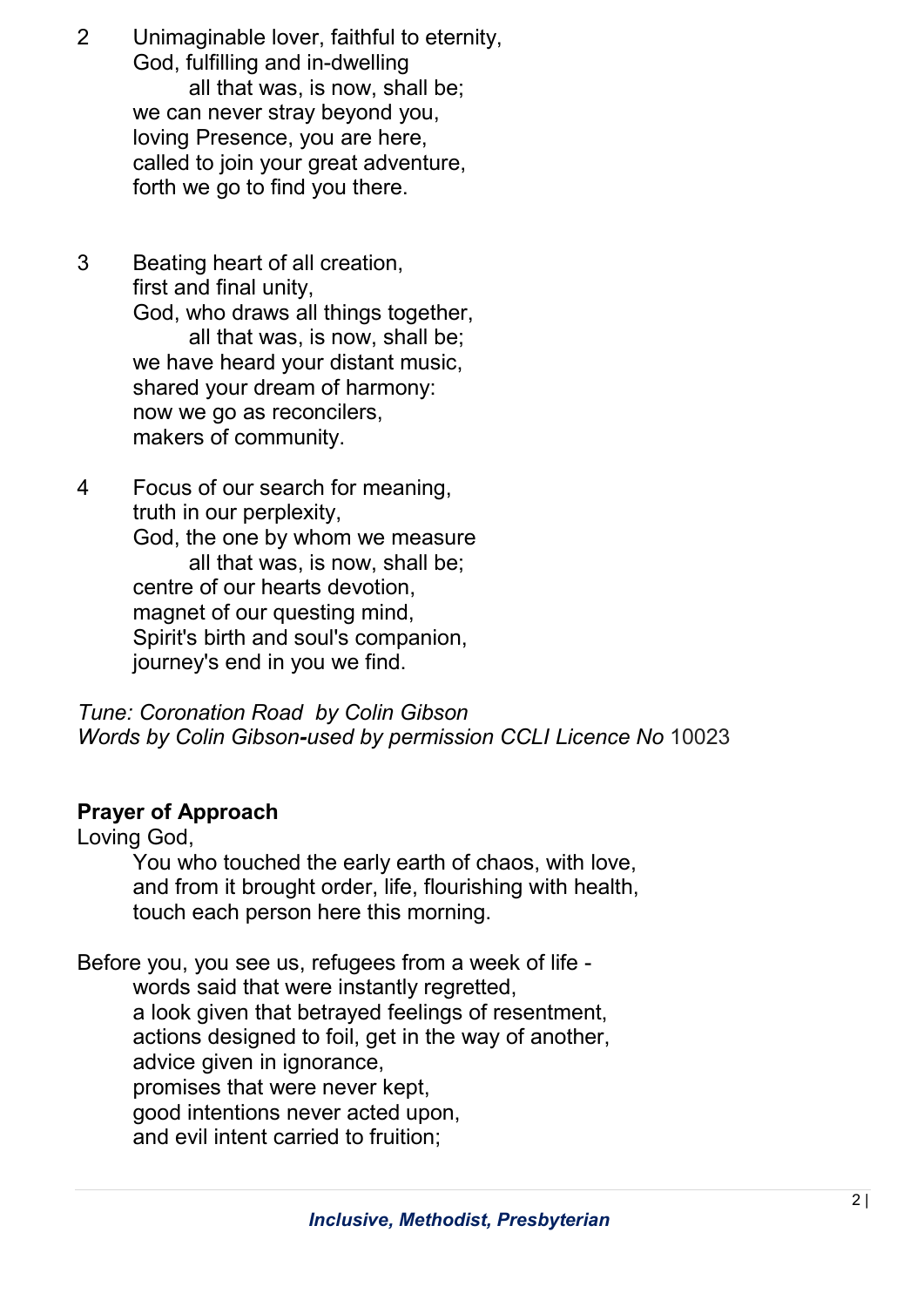- 2 Unimaginable lover, faithful to eternity, God, fulfilling and in-dwelling all that was, is now, shall be; we can never stray beyond you, loving Presence, you are here, called to join your great adventure, forth we go to find you there.
- 3 Beating heart of all creation, first and final unity, God, who draws all things together, all that was, is now, shall be; we have heard your distant music, shared your dream of harmony: now we go as reconcilers, makers of community.
- 4 Focus of our search for meaning, truth in our perplexity, God, the one by whom we measure all that was, is now, shall be; centre of our hearts devotion, magnet of our questing mind, Spirit's birth and soul's companion, journey's end in you we find.

Tune: Coronation Road by Colin Gibson Words by Colin Gibson-used by permission CCLI Licence No 10023

### Prayer of Approach

Loving God,

 You who touched the early earth of chaos, with love, and from it brought order, life, flourishing with health, touch each person here this morning.

Before you, you see us, refugees from a week of life words said that were instantly regretted, a look given that betrayed feelings of resentment, actions designed to foil, get in the way of another, advice given in ignorance, promises that were never kept, good intentions never acted upon, and evil intent carried to fruition;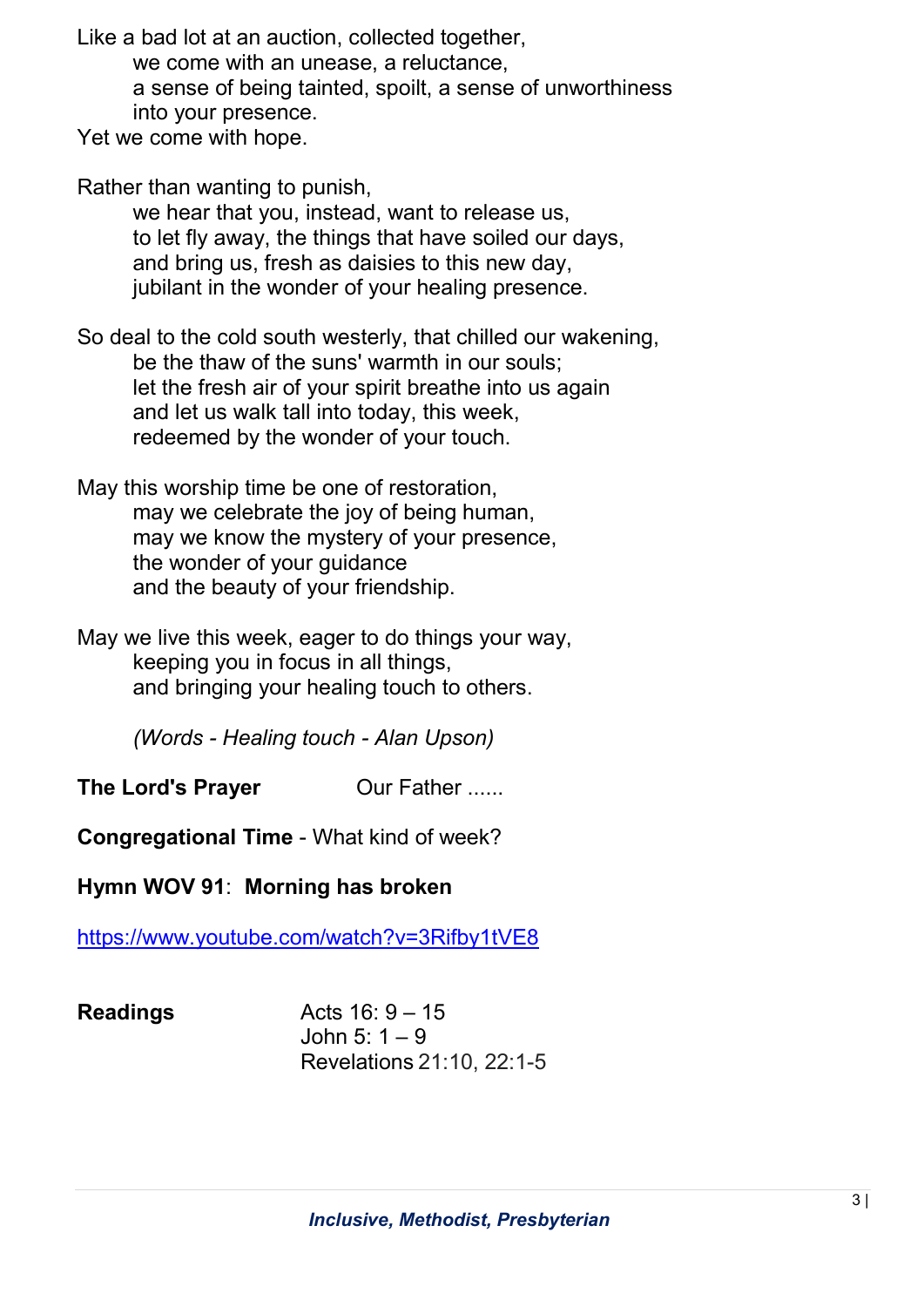Like a bad lot at an auction, collected together,

we come with an unease, a reluctance,

 a sense of being tainted, spoilt, a sense of unworthiness into your presence.

Yet we come with hope.

Rather than wanting to punish,

 we hear that you, instead, want to release us, to let fly away, the things that have soiled our days, and bring us, fresh as daisies to this new day, jubilant in the wonder of your healing presence.

So deal to the cold south westerly, that chilled our wakening, be the thaw of the suns' warmth in our souls; let the fresh air of your spirit breathe into us again and let us walk tall into today, this week, redeemed by the wonder of your touch.

May this worship time be one of restoration, may we celebrate the joy of being human, may we know the mystery of your presence, the wonder of your guidance and the beauty of your friendship.

May we live this week, eager to do things your way, keeping you in focus in all things, and bringing your healing touch to others.

(Words - Healing touch - Alan Upson)

The Lord's Prayer **Our Father ......** 

Congregational Time - What kind of week?

Hymn WOV 91: Morning has broken

https://www.youtube.com/watch?v=3Rifby1tVE8

| <b>Readings</b> | Acts $16:9 - 15$          |
|-----------------|---------------------------|
|                 | John 5: $1 - 9$           |
|                 | Revelations 21:10, 22:1-5 |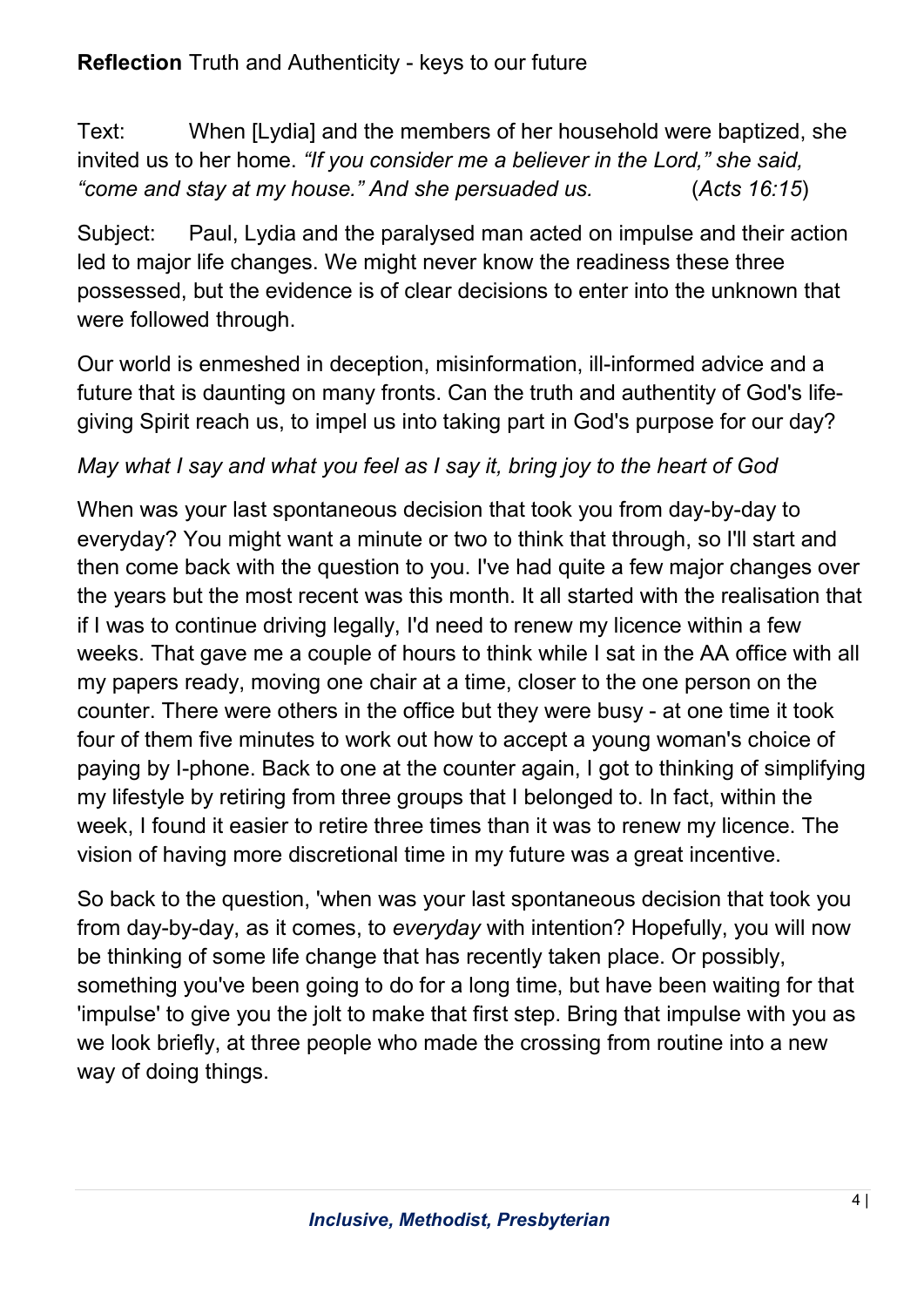# Reflection Truth and Authenticity - keys to our future

Text: When [Lydia] and the members of her household were baptized, she invited us to her home. "If you consider me a believer in the Lord," she said, "come and stay at my house." And she persuaded us. (Acts 16:15)

Subject: Paul, Lydia and the paralysed man acted on impulse and their action led to major life changes. We might never know the readiness these three possessed, but the evidence is of clear decisions to enter into the unknown that were followed through.

Our world is enmeshed in deception, misinformation, ill-informed advice and a future that is daunting on many fronts. Can the truth and authentity of God's lifegiving Spirit reach us, to impel us into taking part in God's purpose for our day?

## May what I say and what you feel as I say it, bring joy to the heart of God

When was your last spontaneous decision that took you from day-by-day to everyday? You might want a minute or two to think that through, so I'll start and then come back with the question to you. I've had quite a few major changes over the years but the most recent was this month. It all started with the realisation that if I was to continue driving legally, I'd need to renew my licence within a few weeks. That gave me a couple of hours to think while I sat in the AA office with all my papers ready, moving one chair at a time, closer to the one person on the counter. There were others in the office but they were busy - at one time it took four of them five minutes to work out how to accept a young woman's choice of paying by I-phone. Back to one at the counter again, I got to thinking of simplifying my lifestyle by retiring from three groups that I belonged to. In fact, within the week, I found it easier to retire three times than it was to renew my licence. The vision of having more discretional time in my future was a great incentive.

So back to the question, 'when was your last spontaneous decision that took you from day-by-day, as it comes, to everyday with intention? Hopefully, you will now be thinking of some life change that has recently taken place. Or possibly, something you've been going to do for a long time, but have been waiting for that 'impulse' to give you the jolt to make that first step. Bring that impulse with you as we look briefly, at three people who made the crossing from routine into a new way of doing things.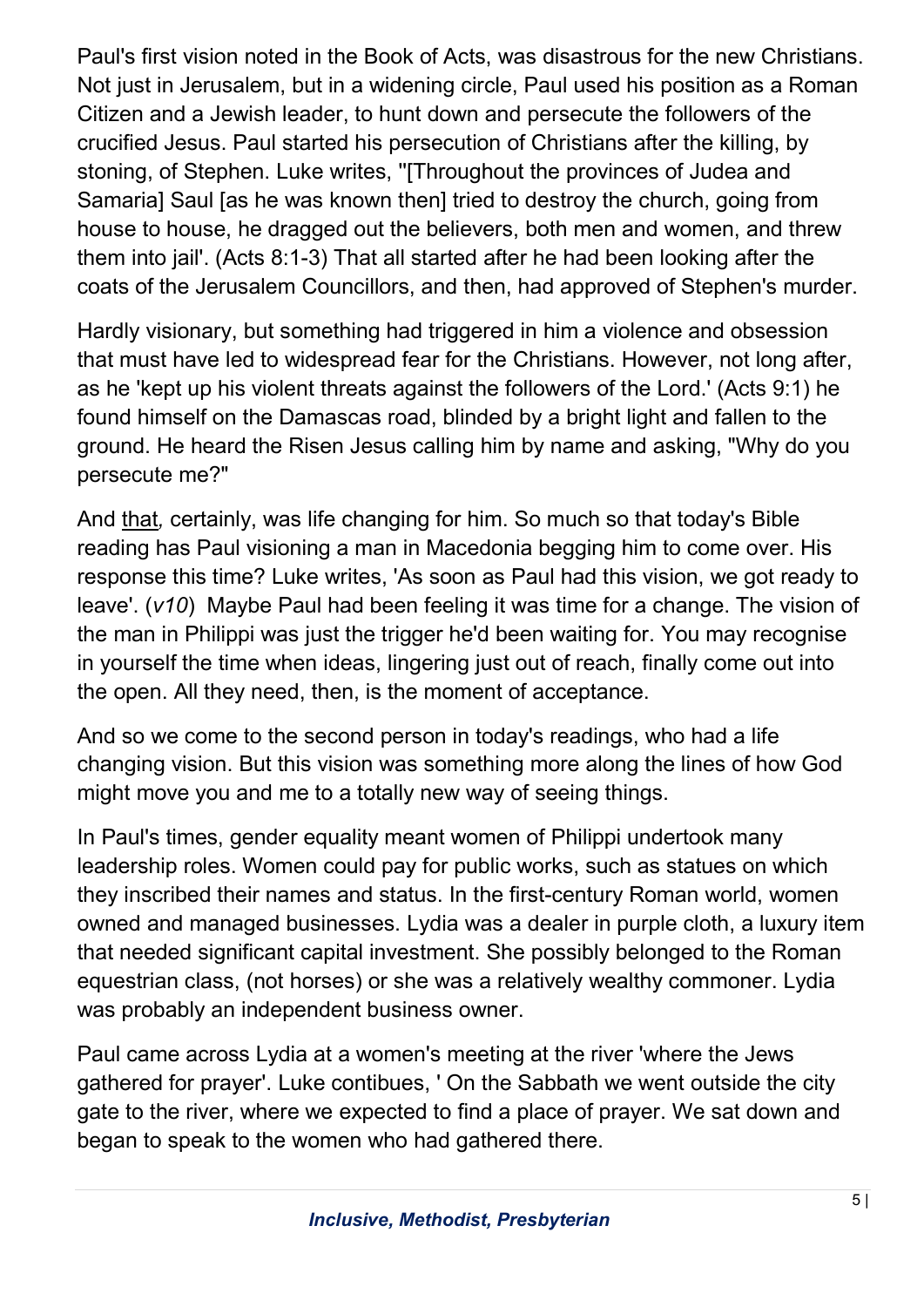Paul's first vision noted in the Book of Acts, was disastrous for the new Christians. Not just in Jerusalem, but in a widening circle, Paul used his position as a Roman Citizen and a Jewish leader, to hunt down and persecute the followers of the crucified Jesus. Paul started his persecution of Christians after the killing, by stoning, of Stephen. Luke writes, ''[Throughout the provinces of Judea and Samaria] Saul [as he was known then] tried to destroy the church, going from house to house, he dragged out the believers, both men and women, and threw them into jail'. (Acts 8:1-3) That all started after he had been looking after the coats of the Jerusalem Councillors, and then, had approved of Stephen's murder.

Hardly visionary, but something had triggered in him a violence and obsession that must have led to widespread fear for the Christians. However, not long after, as he 'kept up his violent threats against the followers of the Lord.' (Acts 9:1) he found himself on the Damascas road, blinded by a bright light and fallen to the ground. He heard the Risen Jesus calling him by name and asking, "Why do you persecute me?"

And that, certainly, was life changing for him. So much so that today's Bible reading has Paul visioning a man in Macedonia begging him to come over. His response this time? Luke writes, 'As soon as Paul had this vision, we got ready to leave'. (v10) Maybe Paul had been feeling it was time for a change. The vision of the man in Philippi was just the trigger he'd been waiting for. You may recognise in yourself the time when ideas, lingering just out of reach, finally come out into the open. All they need, then, is the moment of acceptance.

And so we come to the second person in today's readings, who had a life changing vision. But this vision was something more along the lines of how God might move you and me to a totally new way of seeing things.

In Paul's times, gender equality meant women of Philippi undertook many leadership roles. Women could pay for public works, such as statues on which they inscribed their names and status. In the first-century Roman world, women owned and managed businesses. Lydia was a dealer in purple cloth, a luxury item that needed significant capital investment. She possibly belonged to the Roman equestrian class, (not horses) or she was a relatively wealthy commoner. Lydia was probably an independent business owner.

Paul came across Lydia at a women's meeting at the river 'where the Jews gathered for prayer'. Luke contibues, ' On the Sabbath we went outside the city gate to the river, where we expected to find a place of prayer. We sat down and began to speak to the women who had gathered there.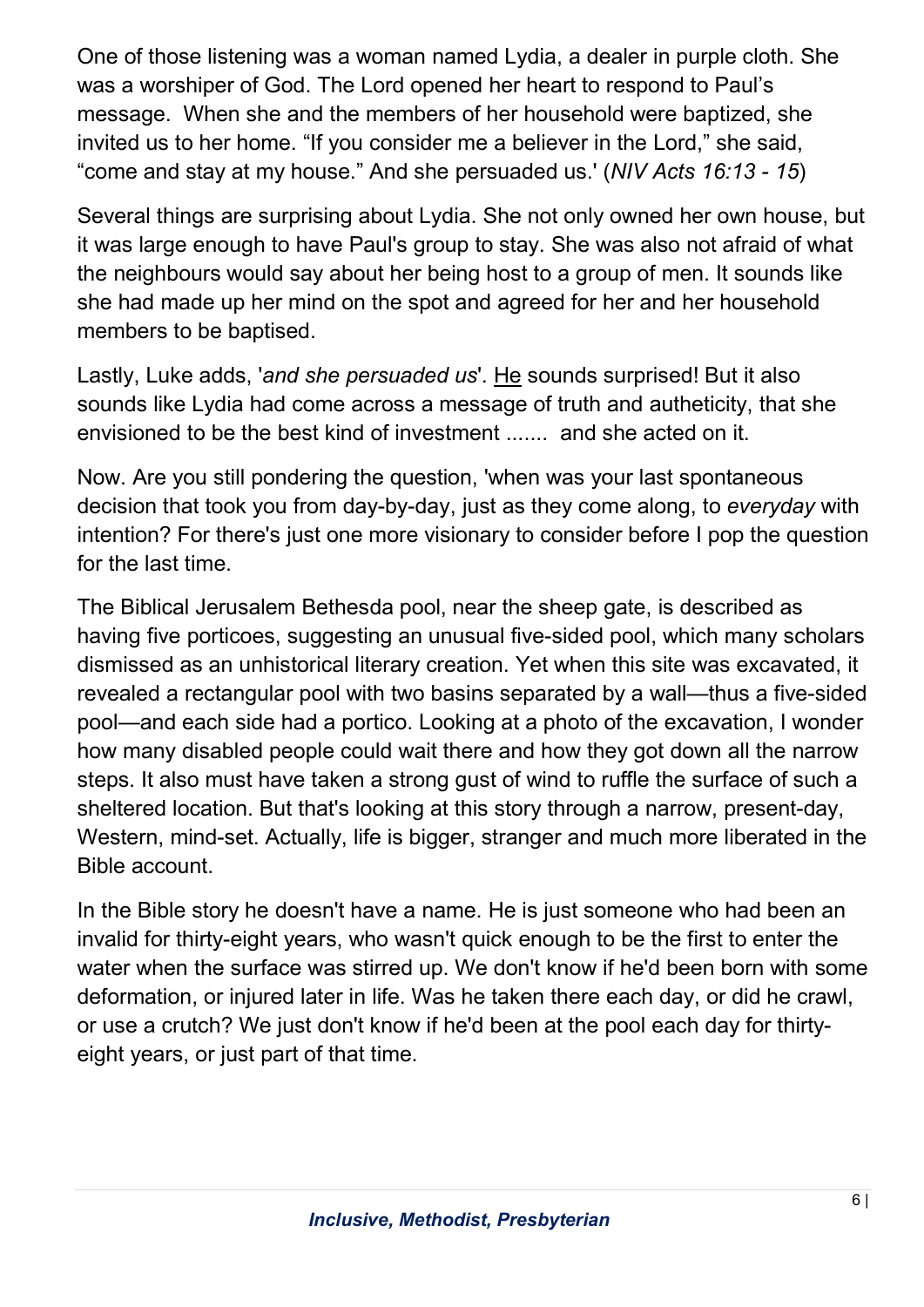One of those listening was a woman named Lydia, a dealer in purple cloth. She was a worshiper of God. The Lord opened her heart to respond to Paul's message. When she and the members of her household were baptized, she invited us to her home. "If you consider me a believer in the Lord," she said, "come and stay at my house." And she persuaded us.' (NIV Acts 16:13 - 15)

Several things are surprising about Lydia. She not only owned her own house, but it was large enough to have Paul's group to stay. She was also not afraid of what the neighbours would say about her being host to a group of men. It sounds like she had made up her mind on the spot and agreed for her and her household members to be baptised.

Lastly, Luke adds, 'and she persuaded us'. He sounds surprised! But it also sounds like Lydia had come across a message of truth and autheticity, that she envisioned to be the best kind of investment ....... and she acted on it.

Now. Are you still pondering the question, 'when was your last spontaneous decision that took you from day-by-day, just as they come along, to everyday with intention? For there's just one more visionary to consider before I pop the question for the last time.

The Biblical Jerusalem Bethesda pool, near the sheep gate, is described as having five porticoes, suggesting an unusual five-sided pool, which many scholars dismissed as an unhistorical literary creation. Yet when this site was excavated, it revealed a rectangular pool with two basins separated by a wall—thus a five-sided pool—and each side had a portico. Looking at a photo of the excavation, I wonder how many disabled people could wait there and how they got down all the narrow steps. It also must have taken a strong gust of wind to ruffle the surface of such a sheltered location. But that's looking at this story through a narrow, present-day, Western, mind-set. Actually, life is bigger, stranger and much more liberated in the Bible account.

In the Bible story he doesn't have a name. He is just someone who had been an invalid for thirty-eight years, who wasn't quick enough to be the first to enter the water when the surface was stirred up. We don't know if he'd been born with some deformation, or injured later in life. Was he taken there each day, or did he crawl, or use a crutch? We just don't know if he'd been at the pool each day for thirtyeight years, or just part of that time.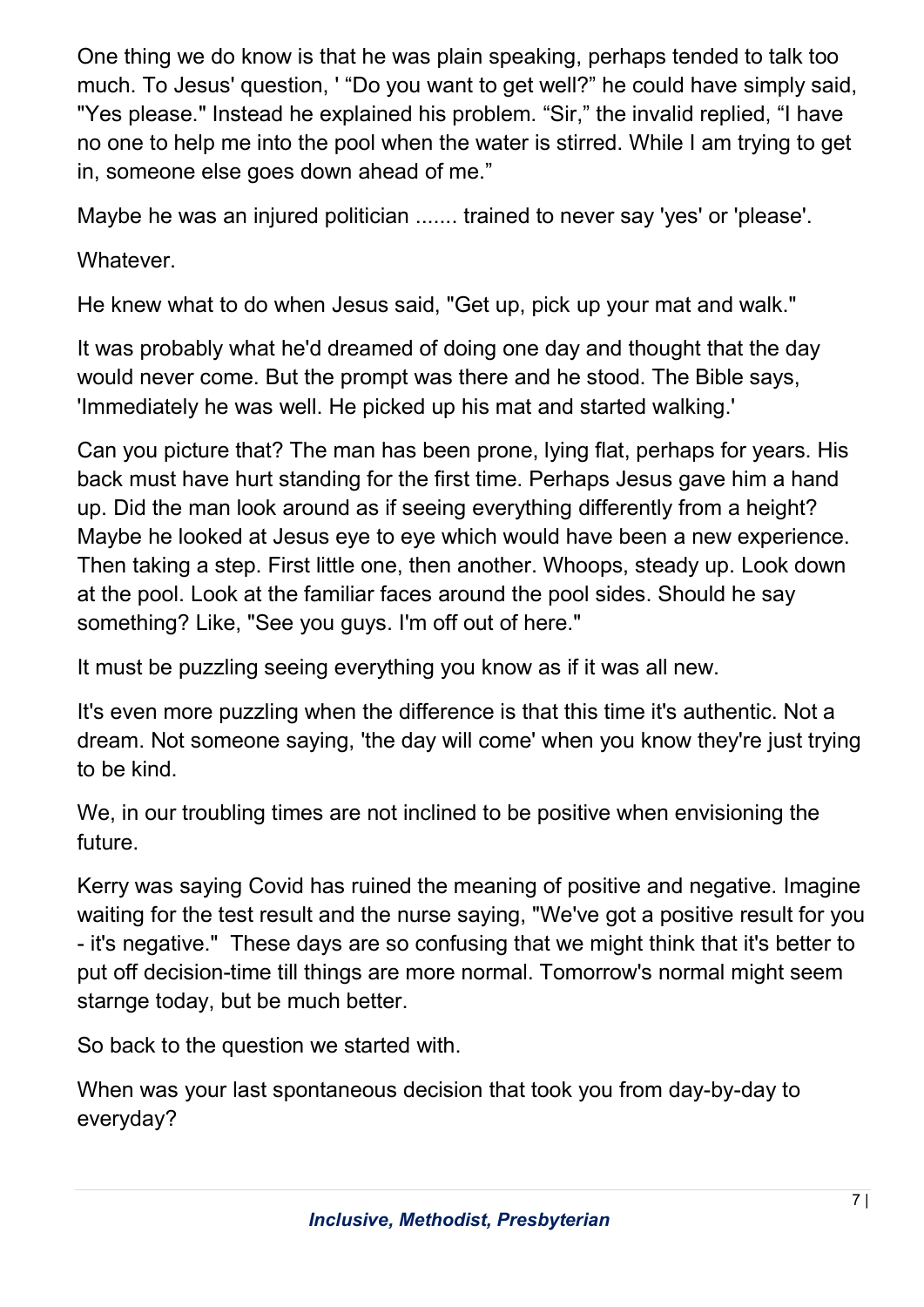One thing we do know is that he was plain speaking, perhaps tended to talk too much. To Jesus' question, ' "Do you want to get well?" he could have simply said, "Yes please." Instead he explained his problem. "Sir," the invalid replied, "I have no one to help me into the pool when the water is stirred. While I am trying to get in, someone else goes down ahead of me."

Maybe he was an injured politician ....... trained to never say 'yes' or 'please'.

Whatever.

He knew what to do when Jesus said, "Get up, pick up your mat and walk."

It was probably what he'd dreamed of doing one day and thought that the day would never come. But the prompt was there and he stood. The Bible says, 'Immediately he was well. He picked up his mat and started walking.'

Can you picture that? The man has been prone, lying flat, perhaps for years. His back must have hurt standing for the first time. Perhaps Jesus gave him a hand up. Did the man look around as if seeing everything differently from a height? Maybe he looked at Jesus eye to eye which would have been a new experience. Then taking a step. First little one, then another. Whoops, steady up. Look down at the pool. Look at the familiar faces around the pool sides. Should he say something? Like, "See you guys. I'm off out of here."

It must be puzzling seeing everything you know as if it was all new.

It's even more puzzling when the difference is that this time it's authentic. Not a dream. Not someone saying, 'the day will come' when you know they're just trying to be kind.

We, in our troubling times are not inclined to be positive when envisioning the future.

Kerry was saying Covid has ruined the meaning of positive and negative. Imagine waiting for the test result and the nurse saying, "We've got a positive result for you - it's negative." These days are so confusing that we might think that it's better to put off decision-time till things are more normal. Tomorrow's normal might seem starnge today, but be much better.

So back to the question we started with.

When was your last spontaneous decision that took you from day-by-day to everyday?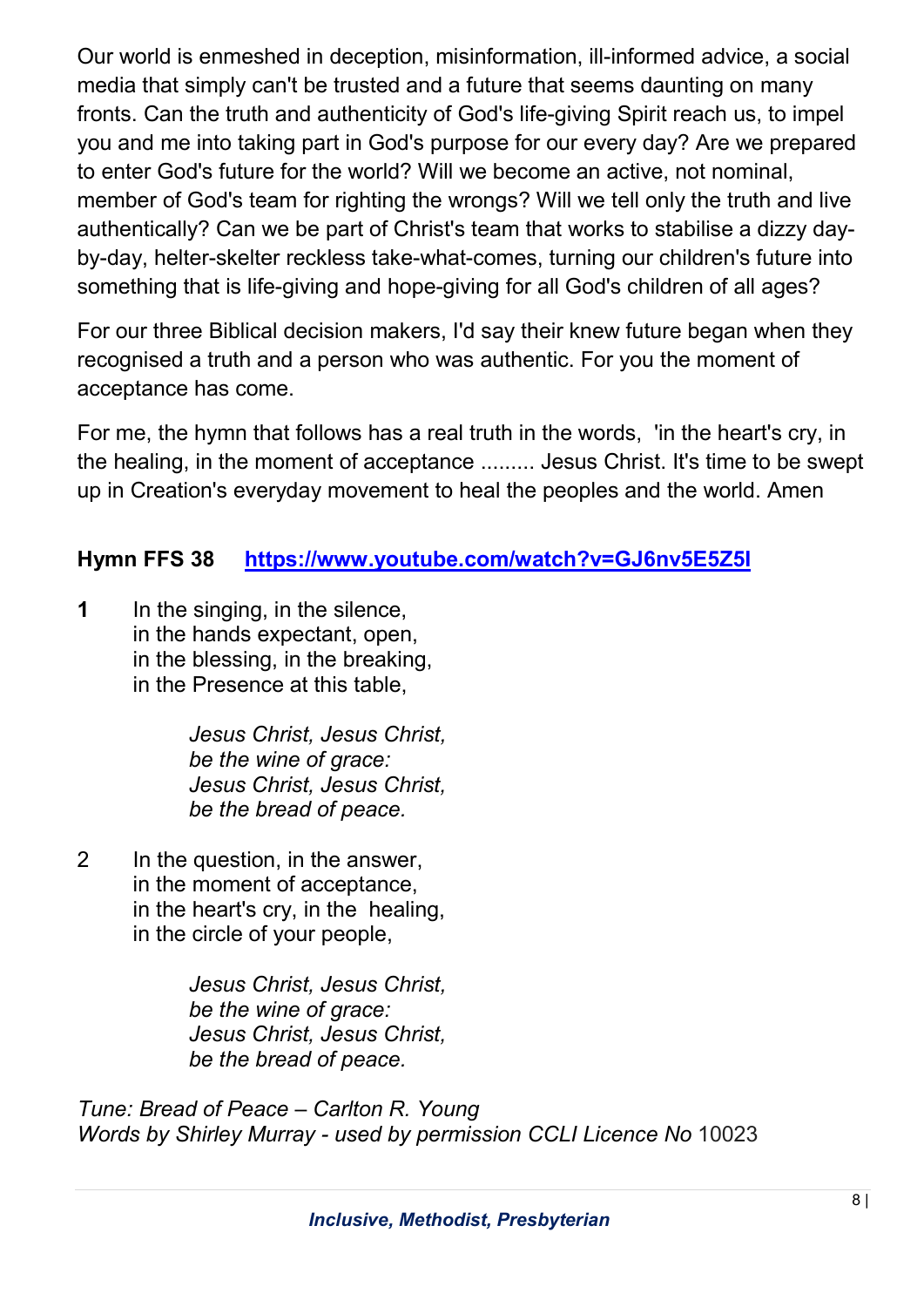Our world is enmeshed in deception, misinformation, ill-informed advice, a social media that simply can't be trusted and a future that seems daunting on many fronts. Can the truth and authenticity of God's life-giving Spirit reach us, to impel you and me into taking part in God's purpose for our every day? Are we prepared to enter God's future for the world? Will we become an active, not nominal, member of God's team for righting the wrongs? Will we tell only the truth and live authentically? Can we be part of Christ's team that works to stabilise a dizzy dayby-day, helter-skelter reckless take-what-comes, turning our children's future into something that is life-giving and hope-giving for all God's children of all ages?

For our three Biblical decision makers, I'd say their knew future began when they recognised a truth and a person who was authentic. For you the moment of acceptance has come.

For me, the hymn that follows has a real truth in the words, 'in the heart's cry, in the healing, in the moment of acceptance ......... Jesus Christ. It's time to be swept up in Creation's everyday movement to heal the peoples and the world. Amen

# Hymn FFS 38 https://www.youtube.com/watch?v=GJ6nv5E5Z5I

1 In the singing, in the silence, in the hands expectant, open, in the blessing, in the breaking, in the Presence at this table,

> Jesus Christ, Jesus Christ, be the wine of grace: Jesus Christ, Jesus Christ, be the bread of peace.

2 In the question, in the answer, in the moment of acceptance, in the heart's cry, in the healing, in the circle of your people,

> Jesus Christ, Jesus Christ, be the wine of grace: Jesus Christ, Jesus Christ, be the bread of peace.

Tune: Bread of Peace – Carlton R. Young Words by Shirley Murray - used by permission CCLI Licence No 10023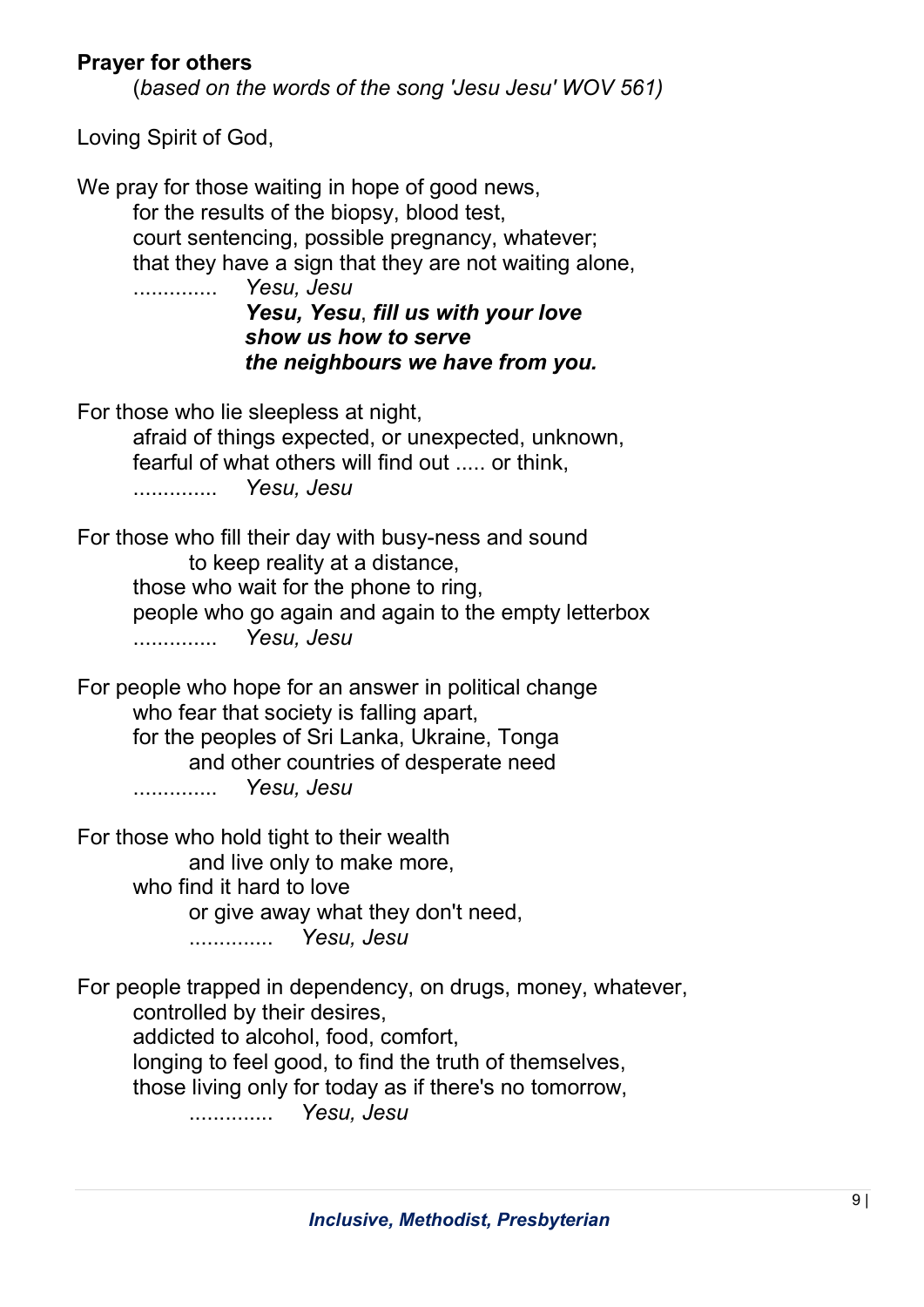### Prayer for others

(based on the words of the song 'Jesu Jesu' WOV 561)

Loving Spirit of God,

We pray for those waiting in hope of good news, for the results of the biopsy, blood test, court sentencing, possible pregnancy, whatever; that they have a sign that they are not waiting alone, .............. Yesu, Jesu Yesu, Yesu, fill us with your love show us how to serve the neighbours we have from you. For those who lie sleepless at night, afraid of things expected, or unexpected, unknown, fearful of what others will find out ..... or think, .............. Yesu, Jesu For those who fill their day with busy-ness and sound to keep reality at a distance, those who wait for the phone to ring, people who go again and again to the empty letterbox .............. Yesu, Jesu For people who hope for an answer in political change who fear that society is falling apart. for the peoples of Sri Lanka, Ukraine, Tonga and other countries of desperate need .............. Yesu, Jesu

For those who hold tight to their wealth and live only to make more, who find it hard to love or give away what they don't need, .............. Yesu, Jesu

For people trapped in dependency, on drugs, money, whatever, controlled by their desires, addicted to alcohol, food, comfort, longing to feel good, to find the truth of themselves, those living only for today as if there's no tomorrow, .............. Yesu, Jesu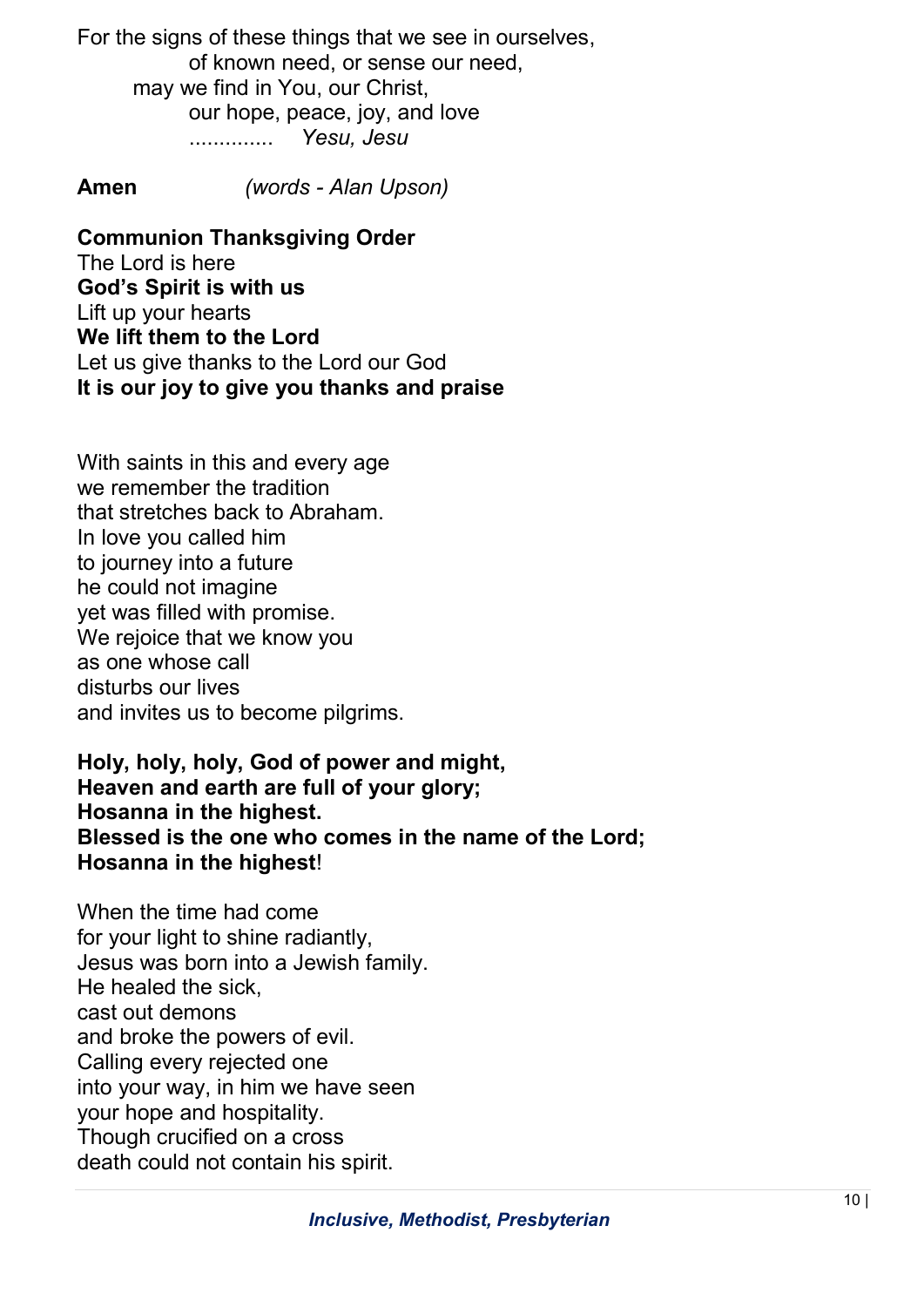For the signs of these things that we see in ourselves, of known need, or sense our need, may we find in You, our Christ, our hope, peace, joy, and love .............. Yesu, Jesu

Amen (words - Alan Upson)

Communion Thanksgiving Order The Lord is here God's Spirit is with us Lift up your hearts We lift them to the Lord Let us give thanks to the Lord our God It is our joy to give you thanks and praise

With saints in this and every age we remember the tradition that stretches back to Abraham. In love you called him to journey into a future he could not imagine yet was filled with promise. We rejoice that we know you as one whose call disturbs our lives and invites us to become pilgrims.

Holy, holy, holy, God of power and might, Heaven and earth are full of your glory; Hosanna in the highest. Blessed is the one who comes in the name of the Lord; Hosanna in the highest!

When the time had come for your light to shine radiantly, Jesus was born into a Jewish family. He healed the sick, cast out demons and broke the powers of evil. Calling every rejected one into your way, in him we have seen your hope and hospitality. Though crucified on a cross death could not contain his spirit.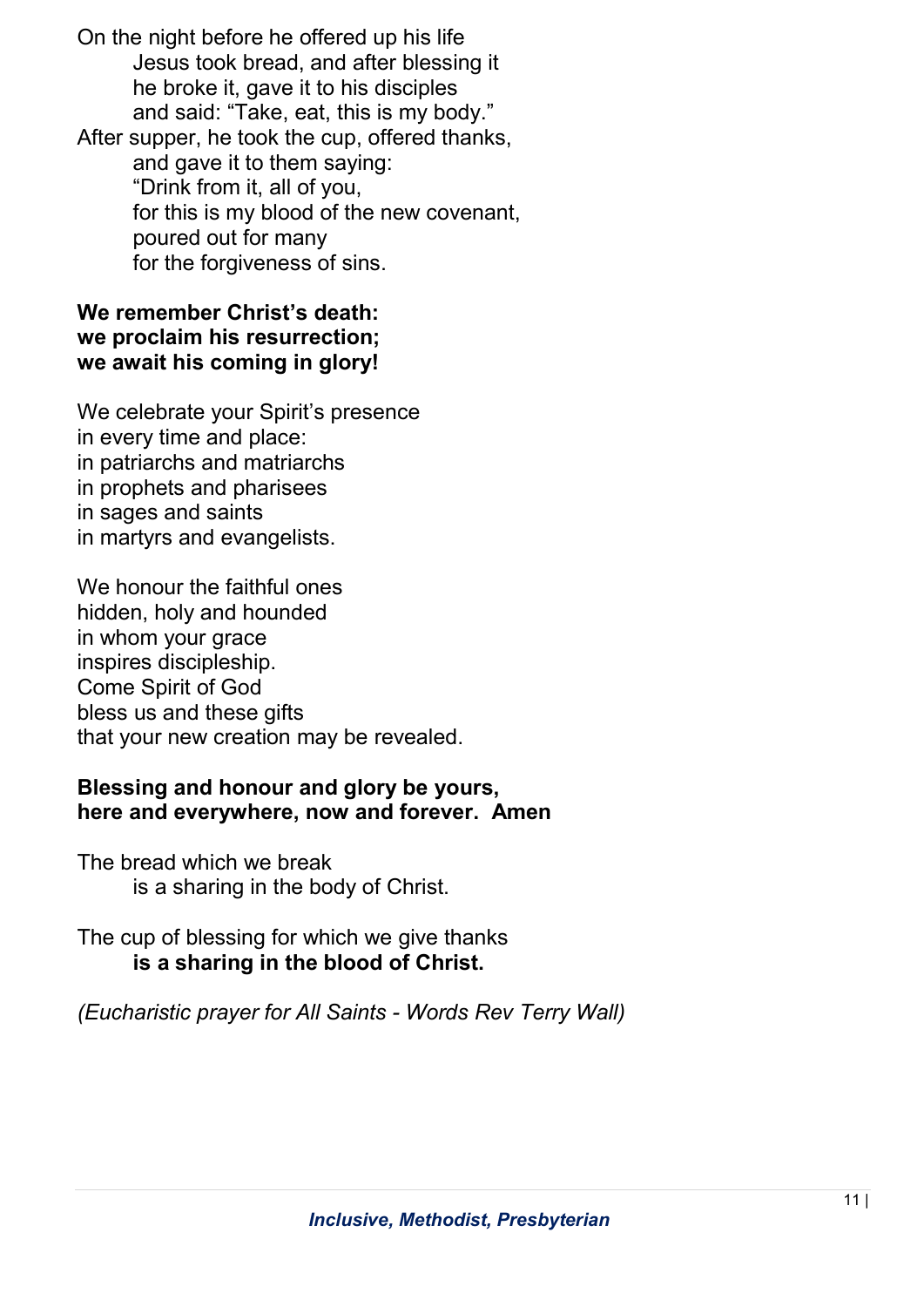On the night before he offered up his life Jesus took bread, and after blessing it he broke it, gave it to his disciples and said: "Take, eat, this is my body." After supper, he took the cup, offered thanks, and gave it to them saying: "Drink from it, all of you, for this is my blood of the new covenant,

 poured out for many for the forgiveness of sins.

#### We remember Christ's death: we proclaim his resurrection; we await his coming in glory!

We celebrate your Spirit's presence in every time and place: in patriarchs and matriarchs in prophets and pharisees in sages and saints in martyrs and evangelists.

We honour the faithful ones hidden, holy and hounded in whom your grace inspires discipleship. Come Spirit of God bless us and these gifts that your new creation may be revealed.

### Blessing and honour and glory be yours, here and everywhere, now and forever. Amen

The bread which we break is a sharing in the body of Christ.

The cup of blessing for which we give thanks is a sharing in the blood of Christ.

(Eucharistic prayer for All Saints - Words Rev Terry Wall)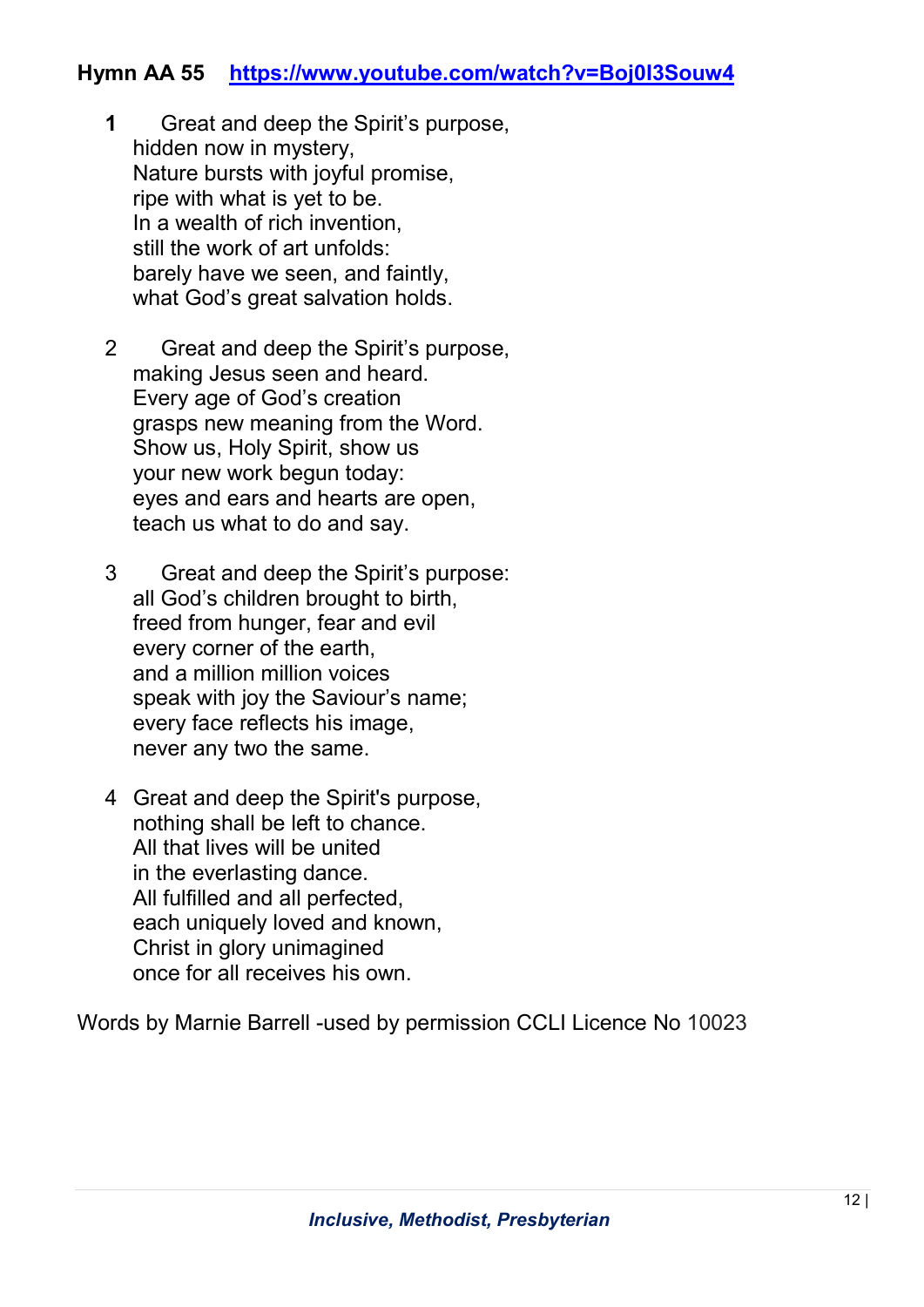### Hymn AA 55 https://www.youtube.com/watch?v=Boj0I3Souw4

- 1 Great and deep the Spirit's purpose, hidden now in mystery, Nature bursts with joyful promise, ripe with what is yet to be. In a wealth of rich invention, still the work of art unfolds: barely have we seen, and faintly, what God's great salvation holds.
- 2 Great and deep the Spirit's purpose, making Jesus seen and heard. Every age of God's creation grasps new meaning from the Word. Show us, Holy Spirit, show us your new work begun today: eyes and ears and hearts are open, teach us what to do and say.
- 3 Great and deep the Spirit's purpose: all God's children brought to birth, freed from hunger, fear and evil every corner of the earth, and a million million voices speak with joy the Saviour's name; every face reflects his image, never any two the same.
- 4 Great and deep the Spirit's purpose, nothing shall be left to chance. All that lives will be united in the everlasting dance. All fulfilled and all perfected, each uniquely loved and known, Christ in glory unimagined once for all receives his own.

Words by Marnie Barrell -used by permission CCLI Licence No 10023